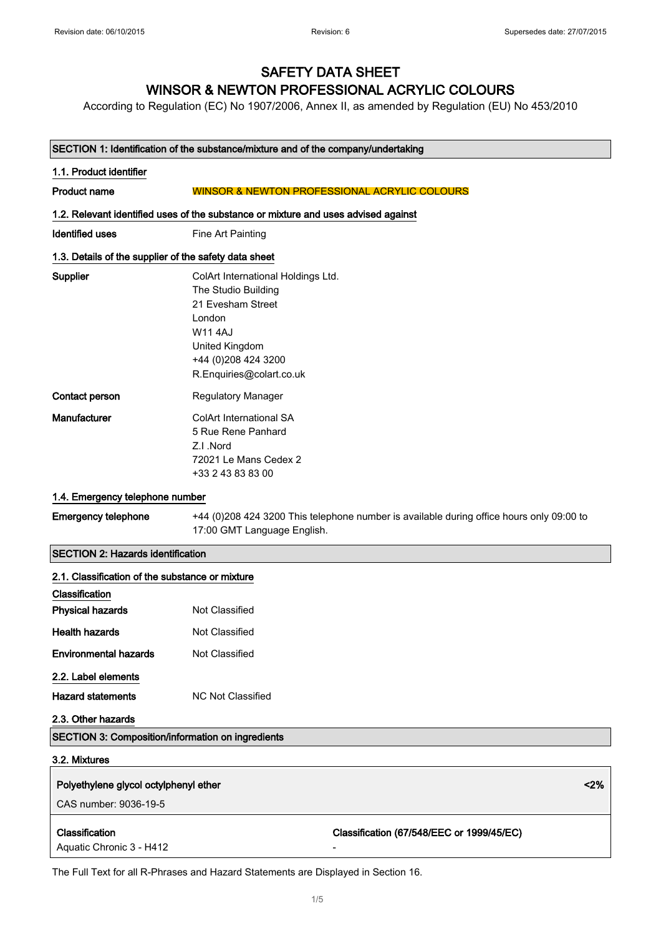## SAFETY DATA SHEET WINSOR & NEWTON PROFESSIONAL ACRYLIC COLOURS

According to Regulation (EC) No 1907/2006, Annex II, as amended by Regulation (EU) No 453/2010

#### SECTION 1: Identification of the substance/mixture and of the company/undertaking

# 1.1. Product identifier Product name WINSOR & NEWTON PROFESSIONAL ACRYLIC COLOURS 1.2. Relevant identified uses of the substance or mixture and uses advised against **Identified uses** Fine Art Painting 1.3. Details of the supplier of the safety data sheet Supplier ColArt International Holdings Ltd. The Studio Building 21 Evesham Street London W11 4AJ United Kingdom +44 (0)208 424 3200 R.Enquiries@colart.co.uk **Contact person** Regulatory Manager Manufacturer ColArt International SA 5 Rue Rene Panhard

Z.I .Nord

72021 Le Mans Cedex 2 +33 2 43 83 83 00

#### 1.4. Emergency telephone number

#### Emergency telephone +44 (0)208 424 3200 This telephone number is available during office hours only 09:00 to 17:00 GMT Language English.

#### SECTION 2: Hazards identification

| 2.1. Classification of the substance or mixture          |                   |                                           |      |
|----------------------------------------------------------|-------------------|-------------------------------------------|------|
| Classification                                           |                   |                                           |      |
| <b>Physical hazards</b>                                  | Not Classified    |                                           |      |
| <b>Health hazards</b>                                    | Not Classified    |                                           |      |
| <b>Environmental hazards</b>                             | Not Classified    |                                           |      |
| 2.2. Label elements                                      |                   |                                           |      |
| <b>Hazard statements</b>                                 | NC Not Classified |                                           |      |
| 2.3. Other hazards                                       |                   |                                           |      |
| <b>SECTION 3: Composition/information on ingredients</b> |                   |                                           |      |
| 3.2. Mixtures                                            |                   |                                           |      |
| Polyethylene glycol octylphenyl ether                    |                   |                                           | < 2% |
| CAS number: 9036-19-5                                    |                   |                                           |      |
| <b>Classification</b>                                    |                   | Classification (67/548/EEC or 1999/45/EC) |      |
| Aquatic Chronic 3 - H412                                 |                   |                                           |      |
|                                                          |                   |                                           |      |

The Full Text for all R-Phrases and Hazard Statements are Displayed in Section 16.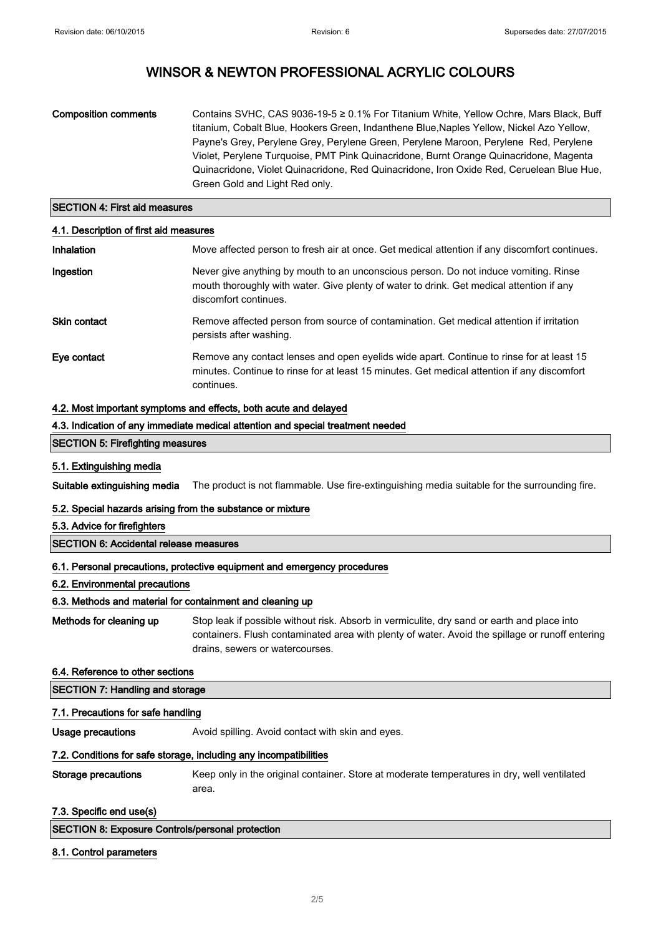# WINSOR & NEWTON PROFESSIONAL ACRYLIC COLOURS

| Composition comments | Contains SVHC, CAS 9036-19-5 ≥ 0.1% For Titanium White, Yellow Ochre, Mars Black, Buff   |
|----------------------|------------------------------------------------------------------------------------------|
|                      | titanium, Cobalt Blue, Hookers Green, Indanthene Blue, Naples Yellow, Nickel Azo Yellow, |
|                      | Payne's Grey, Perylene Grey, Perylene Green, Perylene Maroon, Perylene Red, Perylene     |
|                      | Violet, Perylene Turquoise, PMT Pink Quinacridone, Burnt Orange Quinacridone, Magenta    |
|                      | Quinacridone, Violet Quinacridone, Red Quinacridone, Iron Oxide Red, Ceruelean Blue Hue, |
|                      | Green Gold and Light Red only.                                                           |

#### SECTION 4: First aid measures

| 4.1. Description of first aid measures |                                                                                                                                                                                                           |
|----------------------------------------|-----------------------------------------------------------------------------------------------------------------------------------------------------------------------------------------------------------|
| Inhalation                             | Move affected person to fresh air at once. Get medical attention if any discomfort continues.                                                                                                             |
| Ingestion                              | Never give anything by mouth to an unconscious person. Do not induce vomiting. Rinse<br>mouth thoroughly with water. Give plenty of water to drink. Get medical attention if any<br>discomfort continues. |
| <b>Skin contact</b>                    | Remove affected person from source of contamination. Get medical attention if irritation<br>persists after washing.                                                                                       |
| Eye contact                            | Remove any contact lenses and open eyelids wide apart. Continue to rinse for at least 15<br>minutes. Continue to rinse for at least 15 minutes. Get medical attention if any discomfort<br>continues.     |

#### 4.2. Most important symptoms and effects, both acute and delayed

#### 4.3. Indication of any immediate medical attention and special treatment needed

#### SECTION 5: Firefighting measures

#### 5.1. Extinguishing media

Suitable extinguishing media The product is not flammable. Use fire-extinguishing media suitable for the surrounding fire.

#### 5.2. Special hazards arising from the substance or mixture

#### 5.3. Advice for firefighters

#### SECTION 6: Accidental release measures

#### 6.1. Personal precautions, protective equipment and emergency procedures

#### 6.2. Environmental precautions

#### 6.3. Methods and material for containment and cleaning up

Methods for cleaning up Stop leak if possible without risk. Absorb in vermiculite, dry sand or earth and place into containers. Flush contaminated area with plenty of water. Avoid the spillage or runoff entering drains, sewers or watercourses.

#### 6.4. Reference to other sections

| <b>SECTION 7: Handling and storage</b> |  |
|----------------------------------------|--|
| 7.1. Precautions for safe handling     |  |

Usage precautions **Avoid spilling. Avoid contact with skin and eyes.** 

#### 7.2. Conditions for safe storage, including any incompatibilities

Storage precautions Keep only in the original container. Store at moderate temperatures in dry, well ventilated area.

#### 7.3. Specific end use(s)

#### 8.1. Control parameters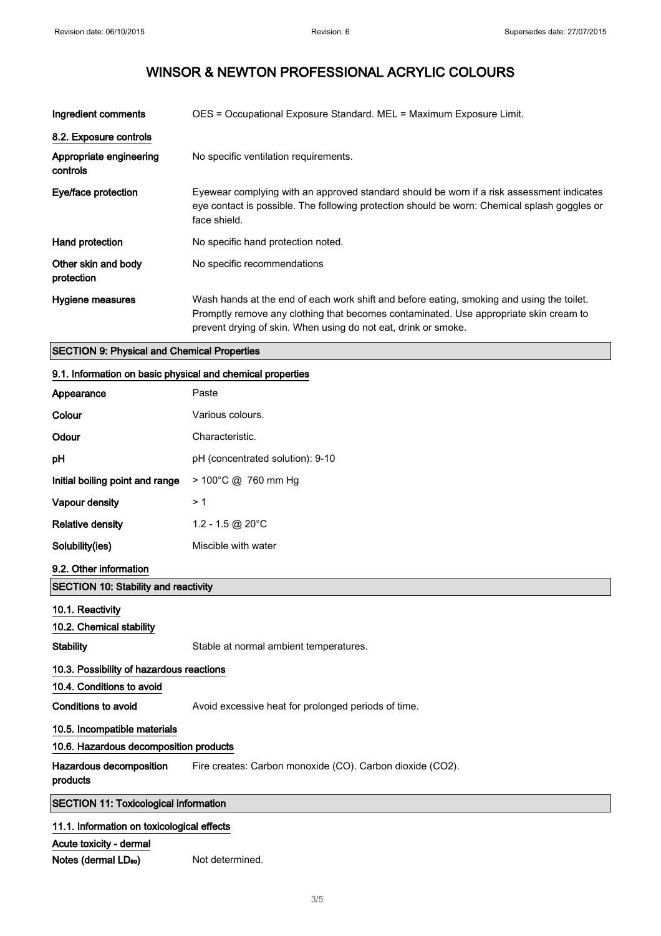# WINSOR & NEWTON PROFESSIONAL ACRYLIC COLOURS

| Ingredient comments                 | OES = Occupational Exposure Standard. MEL = Maximum Exposure Limit.                                                                                                                                                                                  |
|-------------------------------------|------------------------------------------------------------------------------------------------------------------------------------------------------------------------------------------------------------------------------------------------------|
| 8.2. Exposure controls              |                                                                                                                                                                                                                                                      |
| Appropriate engineering<br>controls | No specific ventilation requirements.                                                                                                                                                                                                                |
| Eye/face protection                 | Eyewear complying with an approved standard should be worn if a risk assessment indicates<br>eye contact is possible. The following protection should be worn: Chemical splash goggles or<br>face shield.                                            |
| Hand protection                     | No specific hand protection noted.                                                                                                                                                                                                                   |
| Other skin and body<br>protection   | No specific recommendations                                                                                                                                                                                                                          |
| Hygiene measures                    | Wash hands at the end of each work shift and before eating, smoking and using the toilet.<br>Promptly remove any clothing that becomes contaminated. Use appropriate skin cream to<br>prevent drying of skin. When using do not eat, drink or smoke. |

#### SECTION 9: Physical and Chemical Properties

## 9.1. Information on basic physical and chemical properties

| Appearance                      | Paste                            |
|---------------------------------|----------------------------------|
| Colour                          | Various colours.                 |
| Odour                           | Characteristic.                  |
| pH                              | pH (concentrated solution): 9-10 |
| Initial boiling point and range | > 100°C @ 760 mm Hg              |
| Vapour density                  | >1                               |
| Relative density                | 1.2 - 1.5 @ 20 $^{\circ}$ C      |
| Solubility(ies)                 | Miscible with water              |
|                                 |                                  |

### 9.2. Other information

### SECTION 10: Stability and reactivity

| 10.1. Reactivity                             |                                                           |  |
|----------------------------------------------|-----------------------------------------------------------|--|
| 10.2. Chemical stability                     |                                                           |  |
| Stability                                    | Stable at normal ambient temperatures.                    |  |
| 10.3. Possibility of hazardous reactions     |                                                           |  |
| 10.4. Conditions to avoid                    |                                                           |  |
| Conditions to avoid                          | Avoid excessive heat for prolonged periods of time.       |  |
| 10.5. Incompatible materials                 |                                                           |  |
| 10.6. Hazardous decomposition products       |                                                           |  |
| Hazardous decomposition<br>products          | Fire creates: Carbon monoxide (CO). Carbon dioxide (CO2). |  |
| <b>SECTION 11: Toxicological information</b> |                                                           |  |
| 11.1. Information on toxicological effects   |                                                           |  |
| Acute toxicity - dermal                      |                                                           |  |

Notes (dermal LD<sub>50</sub>) Not determined.

 $\begin{array}{c} \end{array}$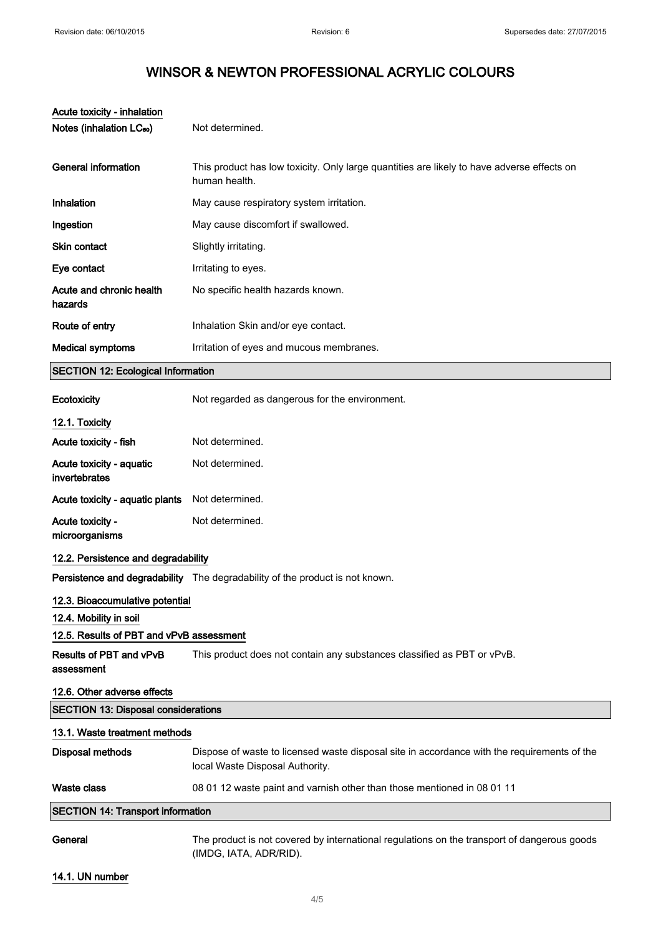# WINSOR & NEWTON PROFESSIONAL ACRYLIC COLOURS

| Acute toxicity - inhalation                |                                                                                                                                |
|--------------------------------------------|--------------------------------------------------------------------------------------------------------------------------------|
| Notes (inhalation LC <sub>50</sub> )       | Not determined.                                                                                                                |
| <b>General information</b>                 | This product has low toxicity. Only large quantities are likely to have adverse effects on<br>human health.                    |
|                                            |                                                                                                                                |
| Inhalation                                 | May cause respiratory system irritation.                                                                                       |
| Ingestion                                  | May cause discomfort if swallowed.                                                                                             |
| Skin contact                               | Slightly irritating.                                                                                                           |
| Eye contact                                | Irritating to eyes.                                                                                                            |
| Acute and chronic health<br>hazards        | No specific health hazards known.                                                                                              |
| Route of entry                             | Inhalation Skin and/or eye contact.                                                                                            |
| <b>Medical symptoms</b>                    | Irritation of eyes and mucous membranes.                                                                                       |
| <b>SECTION 12: Ecological Information</b>  |                                                                                                                                |
| Ecotoxicity                                | Not regarded as dangerous for the environment.                                                                                 |
| 12.1. Toxicity                             |                                                                                                                                |
| Acute toxicity - fish                      | Not determined.                                                                                                                |
| Acute toxicity - aquatic<br>invertebrates  | Not determined.                                                                                                                |
| Acute toxicity - aquatic plants            | Not determined.                                                                                                                |
| Acute toxicity -<br>microorganisms         | Not determined.                                                                                                                |
| 12.2. Persistence and degradability        |                                                                                                                                |
|                                            | Persistence and degradability The degradability of the product is not known.                                                   |
| 12.3. Bioaccumulative potential            |                                                                                                                                |
| 12.4. Mobility in soil                     |                                                                                                                                |
| 12.5. Results of PBT and vPvB assessment   |                                                                                                                                |
| Results of PBT and vPvB<br>assessment      | This product does not contain any substances classified as PBT or vPvB.                                                        |
| 12.6. Other adverse effects                |                                                                                                                                |
| <b>SECTION 13: Disposal considerations</b> |                                                                                                                                |
| 13.1. Waste treatment methods              |                                                                                                                                |
| <b>Disposal methods</b>                    | Dispose of waste to licensed waste disposal site in accordance with the requirements of the<br>local Waste Disposal Authority. |
| <b>Waste class</b>                         | 08 01 12 waste paint and varnish other than those mentioned in 08 01 11                                                        |
| <b>SECTION 14: Transport information</b>   |                                                                                                                                |
|                                            |                                                                                                                                |

General The product is not covered by international regulations on the transport of dangerous goods (IMDG, IATA, ADR/RID).

14.1. UN number